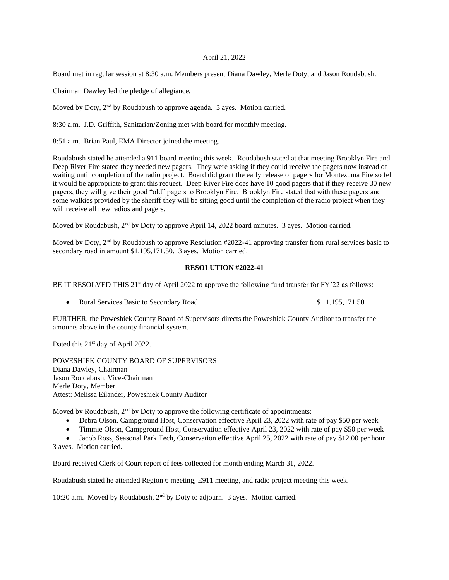## April 21, 2022

Board met in regular session at 8:30 a.m. Members present Diana Dawley, Merle Doty, and Jason Roudabush.

Chairman Dawley led the pledge of allegiance.

Moved by Doty, 2<sup>nd</sup> by Roudabush to approve agenda. 3 ayes. Motion carried.

8:30 a.m. J.D. Griffith, Sanitarian/Zoning met with board for monthly meeting.

8:51 a.m. Brian Paul, EMA Director joined the meeting.

Roudabush stated he attended a 911 board meeting this week. Roudabush stated at that meeting Brooklyn Fire and Deep River Fire stated they needed new pagers. They were asking if they could receive the pagers now instead of waiting until completion of the radio project. Board did grant the early release of pagers for Montezuma Fire so felt it would be appropriate to grant this request. Deep River Fire does have 10 good pagers that if they receive 30 new pagers, they will give their good "old" pagers to Brooklyn Fire. Brooklyn Fire stated that with these pagers and some walkies provided by the sheriff they will be sitting good until the completion of the radio project when they will receive all new radios and pagers.

Moved by Roudabush, 2<sup>nd</sup> by Doty to approve April 14, 2022 board minutes. 3 ayes. Motion carried.

Moved by Doty, 2<sup>nd</sup> by Roudabush to approve Resolution #2022-41 approving transfer from rural services basic to secondary road in amount \$1,195,171.50. 3 ayes. Motion carried.

## **RESOLUTION #2022-41**

BE IT RESOLVED THIS 21<sup>st</sup> day of April 2022 to approve the following fund transfer for FY'22 as follows:

• Rural Services Basic to Secondary Road  $$1,195,171.50$ 

FURTHER, the Poweshiek County Board of Supervisors directs the Poweshiek County Auditor to transfer the amounts above in the county financial system.

Dated this 21<sup>st</sup> day of April 2022.

POWESHIEK COUNTY BOARD OF SUPERVISORS Diana Dawley, Chairman Jason Roudabush, Vice-Chairman Merle Doty, Member Attest: Melissa Eilander, Poweshiek County Auditor

Moved by Roudabush,  $2<sup>nd</sup>$  by Doty to approve the following certificate of appointments:

- Debra Olson, Campground Host, Conservation effective April 23, 2022 with rate of pay \$50 per week
- Timmie Olson, Campground Host, Conservation effective April 23, 2022 with rate of pay \$50 per week

• Jacob Ross, Seasonal Park Tech, Conservation effective April 25, 2022 with rate of pay \$12.00 per hour 3 ayes. Motion carried.

Board received Clerk of Court report of fees collected for month ending March 31, 2022.

Roudabush stated he attended Region 6 meeting, E911 meeting, and radio project meeting this week.

10:20 a.m. Moved by Roudabush, 2nd by Doty to adjourn. 3 ayes. Motion carried.